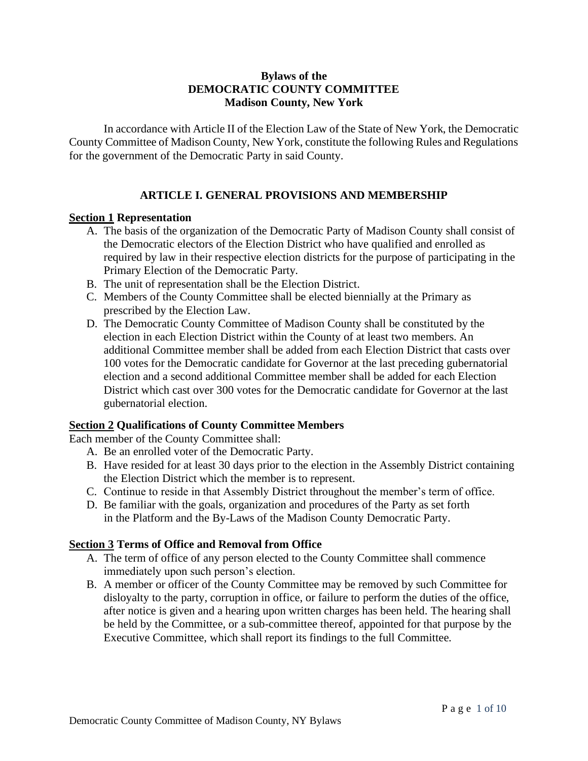### **Bylaws of the DEMOCRATIC COUNTY COMMITTEE Madison County, New York**

In accordance with Article II of the Election Law of the State of New York, the Democratic County Committee of Madison County, New York, constitute the following Rules and Regulations for the government of the Democratic Party in said County.

# **ARTICLE I. GENERAL PROVISIONS AND MEMBERSHIP**

#### **Section 1 Representation**

- A. The basis of the organization of the Democratic Party of Madison County shall consist of the Democratic electors of the Election District who have qualified and enrolled as required by law in their respective election districts for the purpose of participating in the Primary Election of the Democratic Party.
- B. The unit of representation shall be the Election District.
- C. Members of the County Committee shall be elected biennially at the Primary as prescribed by the Election Law.
- D. The Democratic County Committee of Madison County shall be constituted by the election in each Election District within the County of at least two members. An additional Committee member shall be added from each Election District that casts over 100 votes for the Democratic candidate for Governor at the last preceding gubernatorial election and a second additional Committee member shall be added for each Election District which cast over 300 votes for the Democratic candidate for Governor at the last gubernatorial election.

### **Section 2 Qualifications of County Committee Members**

Each member of the County Committee shall:

- A. Be an enrolled voter of the Democratic Party.
- B. Have resided for at least 30 days prior to the election in the Assembly District containing the Election District which the member is to represent.
- C. Continue to reside in that Assembly District throughout the member's term of office.
- D. Be familiar with the goals, organization and procedures of the Party as set forth in the Platform and the By-Laws of the Madison County Democratic Party.

# **Section 3 Terms of Office and Removal from Office**

- A. The term of office of any person elected to the County Committee shall commence immediately upon such person's election.
- B. A member or officer of the County Committee may be removed by such Committee for disloyalty to the party, corruption in office, or failure to perform the duties of the office, after notice is given and a hearing upon written charges has been held. The hearing shall be held by the Committee, or a sub-committee thereof, appointed for that purpose by the Executive Committee, which shall report its findings to the full Committee.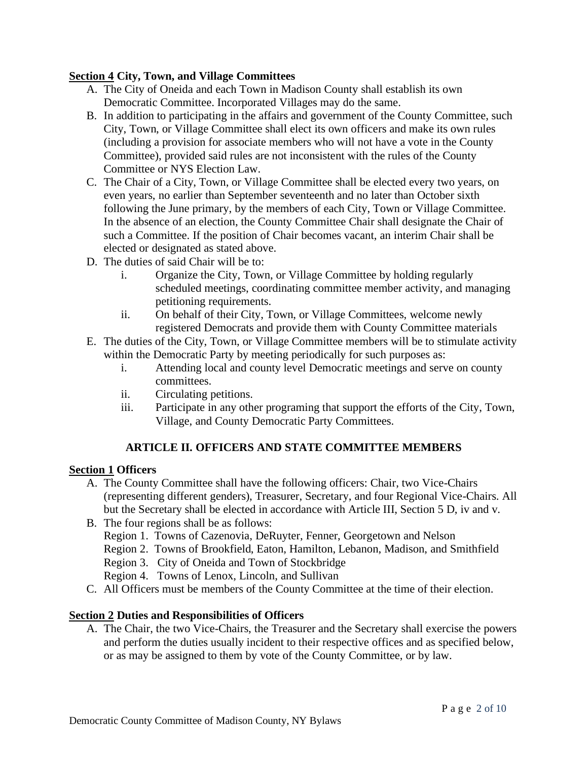### **Section 4 City, Town, and Village Committees**

- A. The City of Oneida and each Town in Madison County shall establish its own Democratic Committee. Incorporated Villages may do the same.
- B. In addition to participating in the affairs and government of the County Committee, such City, Town, or Village Committee shall elect its own officers and make its own rules (including a provision for associate members who will not have a vote in the County Committee), provided said rules are not inconsistent with the rules of the County Committee or NYS Election Law.
- C. The Chair of a City, Town, or Village Committee shall be elected every two years, on even years, no earlier than September seventeenth and no later than October sixth following the June primary, by the members of each City, Town or Village Committee. In the absence of an election, the County Committee Chair shall designate the Chair of such a Committee. If the position of Chair becomes vacant, an interim Chair shall be elected or designated as stated above.
- D. The duties of said Chair will be to:
	- i. Organize the City, Town, or Village Committee by holding regularly scheduled meetings, coordinating committee member activity, and managing petitioning requirements.
	- ii. On behalf of their City, Town, or Village Committees, welcome newly registered Democrats and provide them with County Committee materials
- E. The duties of the City, Town, or Village Committee members will be to stimulate activity within the Democratic Party by meeting periodically for such purposes as:
	- i. Attending local and county level Democratic meetings and serve on county committees.
	- ii. Circulating petitions.
	- iii. Participate in any other programing that support the efforts of the City, Town, Village, and County Democratic Party Committees.

# **ARTICLE II. OFFICERS AND STATE COMMITTEE MEMBERS**

### **Section 1 Officers**

- A. The County Committee shall have the following officers: Chair, two Vice-Chairs (representing different genders), Treasurer, Secretary, and four Regional Vice-Chairs. All but the Secretary shall be elected in accordance with Article III, Section 5 D, iv and v.
- B. The four regions shall be as follows:
	- Region 1. Towns of Cazenovia, DeRuyter, Fenner, Georgetown and Nelson
	- Region 2. Towns of Brookfield, Eaton, Hamilton, Lebanon, Madison, and Smithfield
	- Region 3. City of Oneida and Town of Stockbridge
	- Region 4. Towns of Lenox, Lincoln, and Sullivan
- C. All Officers must be members of the County Committee at the time of their election.

# **Section 2 Duties and Responsibilities of Officers**

A. The Chair, the two Vice-Chairs, the Treasurer and the Secretary shall exercise the powers and perform the duties usually incident to their respective offices and as specified below, or as may be assigned to them by vote of the County Committee, or by law.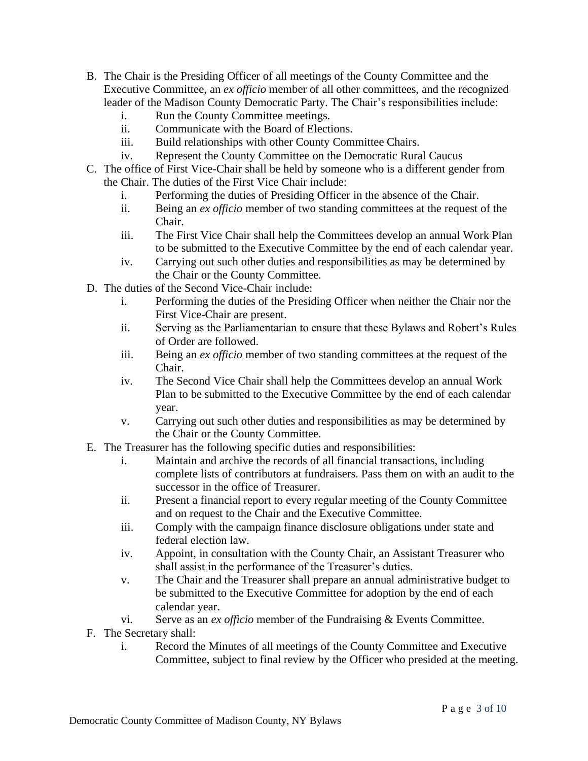- B. The Chair is the Presiding Officer of all meetings of the County Committee and the Executive Committee, an *ex officio* member of all other committees, and the recognized leader of the Madison County Democratic Party. The Chair's responsibilities include:
	- i. Run the County Committee meetings.
	- ii. Communicate with the Board of Elections.
	- iii. Build relationships with other County Committee Chairs.
	- iv. Represent the County Committee on the Democratic Rural Caucus
- C. The office of First Vice-Chair shall be held by someone who is a different gender from the Chair. The duties of the First Vice Chair include:
	- i. Performing the duties of Presiding Officer in the absence of the Chair.
	- ii. Being an *ex officio* member of two standing committees at the request of the Chair.
	- iii. The First Vice Chair shall help the Committees develop an annual Work Plan to be submitted to the Executive Committee by the end of each calendar year.
	- iv. Carrying out such other duties and responsibilities as may be determined by the Chair or the County Committee.
- D. The duties of the Second Vice-Chair include:
	- i. Performing the duties of the Presiding Officer when neither the Chair nor the First Vice-Chair are present.
	- ii. Serving as the Parliamentarian to ensure that these Bylaws and Robert's Rules of Order are followed.
	- iii. Being an *ex officio* member of two standing committees at the request of the Chair.
	- iv. The Second Vice Chair shall help the Committees develop an annual Work Plan to be submitted to the Executive Committee by the end of each calendar year.
	- v. Carrying out such other duties and responsibilities as may be determined by the Chair or the County Committee.
- E. The Treasurer has the following specific duties and responsibilities:
	- i. Maintain and archive the records of all financial transactions, including complete lists of contributors at fundraisers. Pass them on with an audit to the successor in the office of Treasurer.
	- ii. Present a financial report to every regular meeting of the County Committee and on request to the Chair and the Executive Committee.
	- iii. Comply with the campaign finance disclosure obligations under state and federal election law.
	- iv. Appoint, in consultation with the County Chair, an Assistant Treasurer who shall assist in the performance of the Treasurer's duties.
	- v. The Chair and the Treasurer shall prepare an annual administrative budget to be submitted to the Executive Committee for adoption by the end of each calendar year.
	- vi. Serve as an *ex officio* member of the Fundraising & Events Committee.
- F. The Secretary shall:
	- i. Record the Minutes of all meetings of the County Committee and Executive Committee, subject to final review by the Officer who presided at the meeting.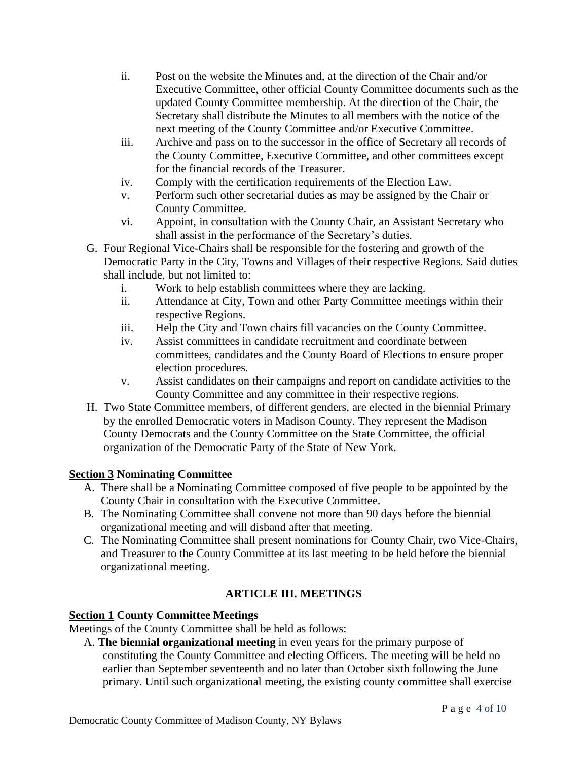- ii. Post on the website the Minutes and, at the direction of the Chair and/or Executive Committee, other official County Committee documents such as the updated County Committee membership. At the direction of the Chair, the Secretary shall distribute the Minutes to all members with the notice of the next meeting of the County Committee and/or Executive Committee.
- iii. Archive and pass on to the successor in the office of Secretary all records of the County Committee, Executive Committee, and other committees except for the financial records of the Treasurer.
- iv. Comply with the certification requirements of the Election Law.
- v. Perform such other secretarial duties as may be assigned by the Chair or County Committee.
- vi. Appoint, in consultation with the County Chair, an Assistant Secretary who shall assist in the performance of the Secretary's duties.
- G. Four Regional Vice-Chairs shall be responsible for the fostering and growth of the Democratic Party in the City, Towns and Villages of their respective Regions. Said duties shall include, but not limited to:
	- i. Work to help establish committees where they are lacking.
	- ii. Attendance at City, Town and other Party Committee meetings within their respective Regions.
	- iii. Help the City and Town chairs fill vacancies on the County Committee.
	- iv. Assist committees in candidate recruitment and coordinate between committees, candidates and the County Board of Elections to ensure proper election procedures.
	- v. Assist candidates on their campaigns and report on candidate activities to the County Committee and any committee in their respective regions.
- H. Two State Committee members, of different genders, are elected in the biennial Primary by the enrolled Democratic voters in Madison County. They represent the Madison County Democrats and the County Committee on the State Committee, the official organization of the Democratic Party of the State of New York.

# **Section 3 Nominating Committee**

- A. There shall be a Nominating Committee composed of five people to be appointed by the County Chair in consultation with the Executive Committee.
- B. The Nominating Committee shall convene not more than 90 days before the biennial organizational meeting and will disband after that meeting.
- C. The Nominating Committee shall present nominations for County Chair, two Vice-Chairs, and Treasurer to the County Committee at its last meeting to be held before the biennial organizational meeting.

# **ARTICLE III. MEETINGS**

# **Section 1 County Committee Meetings**

Meetings of the County Committee shall be held as follows:

A. **The biennial organizational meeting** in even years for the primary purpose of constituting the County Committee and electing Officers. The meeting will be held no earlier than September seventeenth and no later than October sixth following the June primary. Until such organizational meeting, the existing county committee shall exercise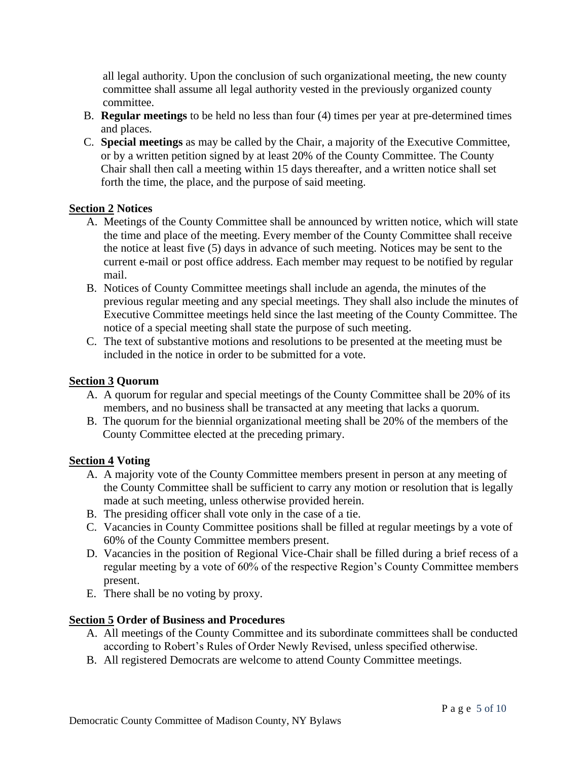all legal authority. Upon the conclusion of such organizational meeting, the new county committee shall assume all legal authority vested in the previously organized county committee.

- B. **Regular meetings** to be held no less than four (4) times per year at pre-determined times and places.
- C. **Special meetings** as may be called by the Chair, a majority of the Executive Committee, or by a written petition signed by at least 20% of the County Committee. The County Chair shall then call a meeting within 15 days thereafter, and a written notice shall set forth the time, the place, and the purpose of said meeting.

### **Section 2 Notices**

- A. Meetings of the County Committee shall be announced by written notice, which will state the time and place of the meeting. Every member of the County Committee shall receive the notice at least five (5) days in advance of such meeting. Notices may be sent to the current e-mail or post office address. Each member may request to be notified by regular mail.
- B. Notices of County Committee meetings shall include an agenda, the minutes of the previous regular meeting and any special meetings. They shall also include the minutes of Executive Committee meetings held since the last meeting of the County Committee. The notice of a special meeting shall state the purpose of such meeting.
- C. The text of substantive motions and resolutions to be presented at the meeting must be included in the notice in order to be submitted for a vote.

### **Section 3 Quorum**

- A. A quorum for regular and special meetings of the County Committee shall be 20% of its members, and no business shall be transacted at any meeting that lacks a quorum.
- B. The quorum for the biennial organizational meeting shall be 20% of the members of the County Committee elected at the preceding primary.

#### **Section 4 Voting**

- A. A majority vote of the County Committee members present in person at any meeting of the County Committee shall be sufficient to carry any motion or resolution that is legally made at such meeting, unless otherwise provided herein.
- B. The presiding officer shall vote only in the case of a tie.
- C. Vacancies in County Committee positions shall be filled at regular meetings by a vote of 60% of the County Committee members present.
- D. Vacancies in the position of Regional Vice-Chair shall be filled during a brief recess of a regular meeting by a vote of 60% of the respective Region's County Committee members present.
- E. There shall be no voting by proxy.

# **Section 5 Order of Business and Procedures**

- A. All meetings of the County Committee and its subordinate committees shall be conducted according to Robert's Rules of Order Newly Revised, unless specified otherwise.
- B. All registered Democrats are welcome to attend County Committee meetings.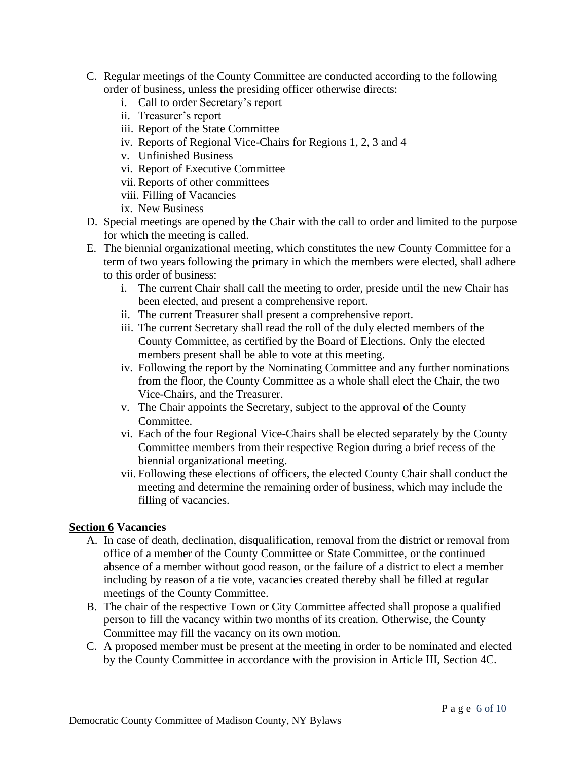- C. Regular meetings of the County Committee are conducted according to the following order of business, unless the presiding officer otherwise directs:
	- i. Call to order Secretary's report
	- ii. Treasurer's report
	- iii. Report of the State Committee
	- iv. Reports of Regional Vice-Chairs for Regions 1, 2, 3 and 4
	- v. Unfinished Business
	- vi. Report of Executive Committee
	- vii. Reports of other committees
	- viii. Filling of Vacancies
	- ix. New Business
- D. Special meetings are opened by the Chair with the call to order and limited to the purpose for which the meeting is called.
- E. The biennial organizational meeting, which constitutes the new County Committee for a term of two years following the primary in which the members were elected, shall adhere to this order of business:
	- i. The current Chair shall call the meeting to order, preside until the new Chair has been elected, and present a comprehensive report.
	- ii. The current Treasurer shall present a comprehensive report.
	- iii. The current Secretary shall read the roll of the duly elected members of the County Committee, as certified by the Board of Elections. Only the elected members present shall be able to vote at this meeting.
	- iv. Following the report by the Nominating Committee and any further nominations from the floor, the County Committee as a whole shall elect the Chair, the two Vice-Chairs, and the Treasurer.
	- v. The Chair appoints the Secretary, subject to the approval of the County Committee.
	- vi. Each of the four Regional Vice-Chairs shall be elected separately by the County Committee members from their respective Region during a brief recess of the biennial organizational meeting.
	- vii. Following these elections of officers, the elected County Chair shall conduct the meeting and determine the remaining order of business, which may include the filling of vacancies.

#### **Section 6 Vacancies**

- A. In case of death, declination, disqualification, removal from the district or removal from office of a member of the County Committee or State Committee, or the continued absence of a member without good reason, or the failure of a district to elect a member including by reason of a tie vote, vacancies created thereby shall be filled at regular meetings of the County Committee.
- B. The chair of the respective Town or City Committee affected shall propose a qualified person to fill the vacancy within two months of its creation. Otherwise, the County Committee may fill the vacancy on its own motion.
- C. A proposed member must be present at the meeting in order to be nominated and elected by the County Committee in accordance with the provision in Article III, Section 4C.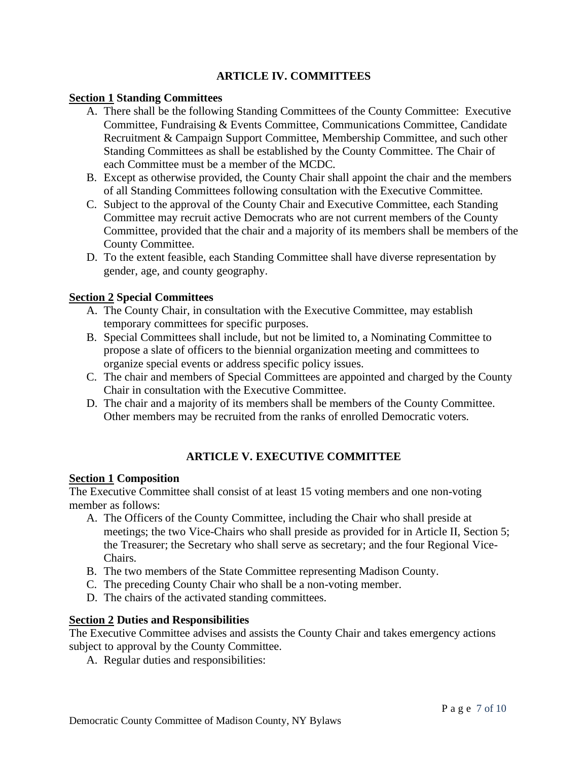# **ARTICLE IV. COMMITTEES**

#### **Section 1 Standing Committees**

- A. There shall be the following Standing Committees of the County Committee: Executive Committee, Fundraising & Events Committee, Communications Committee, Candidate Recruitment & Campaign Support Committee, Membership Committee, and such other Standing Committees as shall be established by the County Committee. The Chair of each Committee must be a member of the MCDC.
- B. Except as otherwise provided, the County Chair shall appoint the chair and the members of all Standing Committees following consultation with the Executive Committee.
- C. Subject to the approval of the County Chair and Executive Committee, each Standing Committee may recruit active Democrats who are not current members of the County Committee, provided that the chair and a majority of its members shall be members of the County Committee.
- D. To the extent feasible, each Standing Committee shall have diverse representation by gender, age, and county geography.

### **Section 2 Special Committees**

- A. The County Chair, in consultation with the Executive Committee, may establish temporary committees for specific purposes.
- B. Special Committees shall include, but not be limited to, a Nominating Committee to propose a slate of officers to the biennial organization meeting and committees to organize special events or address specific policy issues.
- C. The chair and members of Special Committees are appointed and charged by the County Chair in consultation with the Executive Committee.
- D. The chair and a majority of its members shall be members of the County Committee. Other members may be recruited from the ranks of enrolled Democratic voters.

# **ARTICLE V. EXECUTIVE COMMITTEE**

#### **Section 1 Composition**

The Executive Committee shall consist of at least 15 voting members and one non-voting member as follows:

- A. The Officers of the County Committee, including the Chair who shall preside at meetings; the two Vice-Chairs who shall preside as provided for in Article II, Section 5; the Treasurer; the Secretary who shall serve as secretary; and the four Regional Vice-Chairs.
- B. The two members of the State Committee representing Madison County.
- C. The preceding County Chair who shall be a non-voting member.
- D. The chairs of the activated standing committees.

### **Section 2 Duties and Responsibilities**

The Executive Committee advises and assists the County Chair and takes emergency actions subject to approval by the County Committee.

A. Regular duties and responsibilities: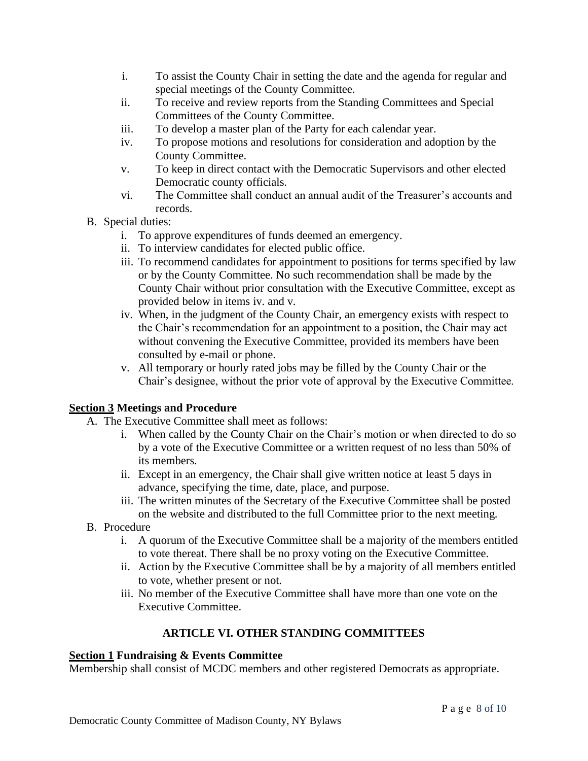- i. To assist the County Chair in setting the date and the agenda for regular and special meetings of the County Committee.
- ii. To receive and review reports from the Standing Committees and Special Committees of the County Committee.
- iii. To develop a master plan of the Party for each calendar year.
- iv. To propose motions and resolutions for consideration and adoption by the County Committee.
- v. To keep in direct contact with the Democratic Supervisors and other elected Democratic county officials.
- vi. The Committee shall conduct an annual audit of the Treasurer's accounts and records.
- B. Special duties:
	- i. To approve expenditures of funds deemed an emergency.
	- ii. To interview candidates for elected public office.
	- iii. To recommend candidates for appointment to positions for terms specified by law or by the County Committee. No such recommendation shall be made by the County Chair without prior consultation with the Executive Committee, except as provided below in items iv. and v.
	- iv. When, in the judgment of the County Chair, an emergency exists with respect to the Chair's recommendation for an appointment to a position, the Chair may act without convening the Executive Committee, provided its members have been consulted by e-mail or phone.
	- v. All temporary or hourly rated jobs may be filled by the County Chair or the Chair's designee, without the prior vote of approval by the Executive Committee.

# **Section 3 Meetings and Procedure**

- A. The Executive Committee shall meet as follows:
	- i. When called by the County Chair on the Chair's motion or when directed to do so by a vote of the Executive Committee or a written request of no less than 50% of its members.
	- ii. Except in an emergency, the Chair shall give written notice at least 5 days in advance, specifying the time, date, place, and purpose.
	- iii. The written minutes of the Secretary of the Executive Committee shall be posted on the website and distributed to the full Committee prior to the next meeting.
- B. Procedure
	- i. A quorum of the Executive Committee shall be a majority of the members entitled to vote thereat. There shall be no proxy voting on the Executive Committee.
	- ii. Action by the Executive Committee shall be by a majority of all members entitled to vote, whether present or not.
	- iii. No member of the Executive Committee shall have more than one vote on the Executive Committee.

# **ARTICLE VI. OTHER STANDING COMMITTEES**

# **Section 1 Fundraising & Events Committee**

Membership shall consist of MCDC members and other registered Democrats as appropriate.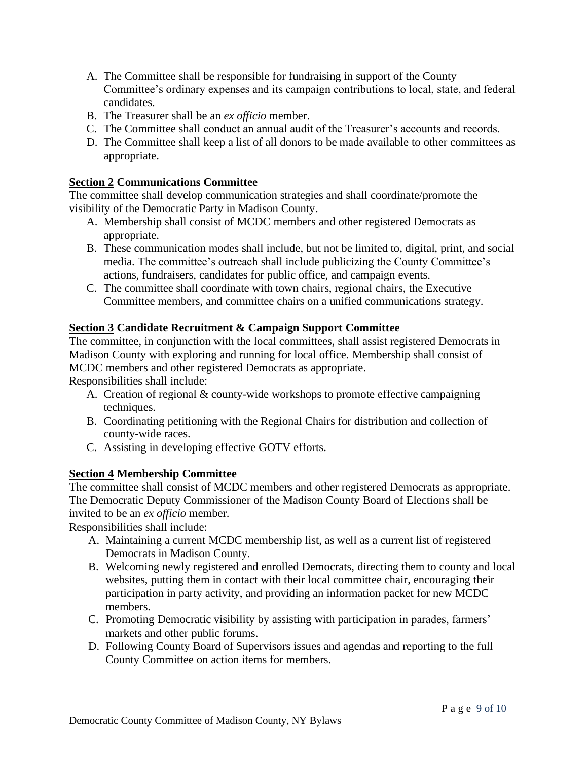- A. The Committee shall be responsible for fundraising in support of the County Committee's ordinary expenses and its campaign contributions to local, state, and federal candidates.
- B. The Treasurer shall be an *ex officio* member.
- C. The Committee shall conduct an annual audit of the Treasurer's accounts and records.
- D. The Committee shall keep a list of all donors to be made available to other committees as appropriate.

# **Section 2 Communications Committee**

The committee shall develop communication strategies and shall coordinate/promote the visibility of the Democratic Party in Madison County.

- A. Membership shall consist of MCDC members and other registered Democrats as appropriate.
- B. These communication modes shall include, but not be limited to, digital, print, and social media. The committee's outreach shall include publicizing the County Committee's actions, fundraisers, candidates for public office, and campaign events.
- C. The committee shall coordinate with town chairs, regional chairs, the Executive Committee members, and committee chairs on a unified communications strategy.

# **Section 3 Candidate Recruitment & Campaign Support Committee**

The committee, in conjunction with the local committees, shall assist registered Democrats in Madison County with exploring and running for local office. Membership shall consist of MCDC members and other registered Democrats as appropriate.

Responsibilities shall include:

- A. Creation of regional & county-wide workshops to promote effective campaigning techniques.
- B. Coordinating petitioning with the Regional Chairs for distribution and collection of county-wide races.
- C. Assisting in developing effective GOTV efforts.

# **Section 4 Membership Committee**

The committee shall consist of MCDC members and other registered Democrats as appropriate. The Democratic Deputy Commissioner of the Madison County Board of Elections shall be invited to be an *ex officio* member.

Responsibilities shall include:

- A. Maintaining a current MCDC membership list, as well as a current list of registered Democrats in Madison County.
- B. Welcoming newly registered and enrolled Democrats, directing them to county and local websites, putting them in contact with their local committee chair, encouraging their participation in party activity, and providing an information packet for new MCDC members.
- C. Promoting Democratic visibility by assisting with participation in parades, farmers' markets and other public forums.
- D. Following County Board of Supervisors issues and agendas and reporting to the full County Committee on action items for members.